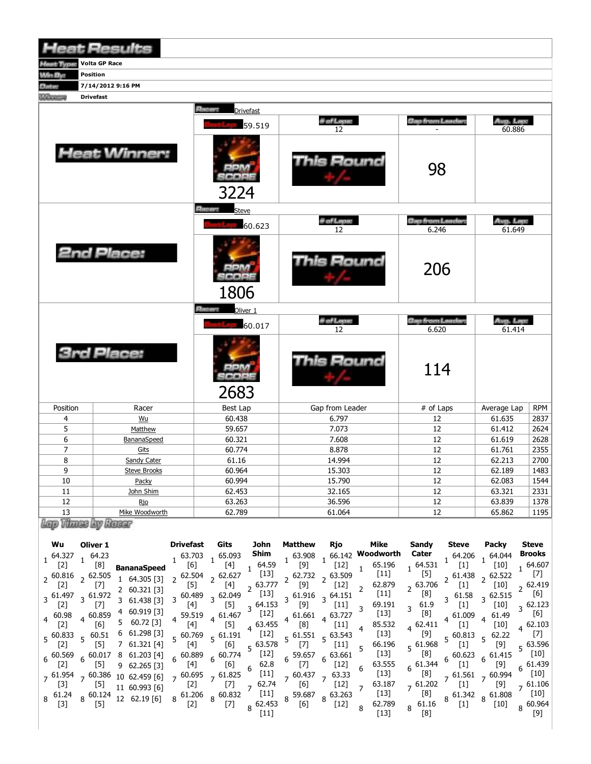|                                                        | <b>Heat Results</b>                                                                                                                                                                                                                        |                                                                                                                                |                                                                                                                                                                                                       |                                                                                                         |                                                                                                                                           |
|--------------------------------------------------------|--------------------------------------------------------------------------------------------------------------------------------------------------------------------------------------------------------------------------------------------|--------------------------------------------------------------------------------------------------------------------------------|-------------------------------------------------------------------------------------------------------------------------------------------------------------------------------------------------------|---------------------------------------------------------------------------------------------------------|-------------------------------------------------------------------------------------------------------------------------------------------|
|                                                        | <b>Volta GP Race</b>                                                                                                                                                                                                                       |                                                                                                                                |                                                                                                                                                                                                       |                                                                                                         |                                                                                                                                           |
| <b>Win By:</b>                                         | <b>Position</b>                                                                                                                                                                                                                            |                                                                                                                                |                                                                                                                                                                                                       |                                                                                                         |                                                                                                                                           |
| <b>Distant</b>                                         | 7/14/2012 9:16 PM                                                                                                                                                                                                                          |                                                                                                                                |                                                                                                                                                                                                       |                                                                                                         |                                                                                                                                           |
| <b><i><u>Literature</u></i></b>                        | <b>Drivefast</b>                                                                                                                                                                                                                           | <b>Electron</b>                                                                                                                |                                                                                                                                                                                                       |                                                                                                         |                                                                                                                                           |
|                                                        |                                                                                                                                                                                                                                            | <b>Drivefast</b>                                                                                                               | # of Laps:                                                                                                                                                                                            | Cao from Leader:                                                                                        | Avg. Lep.                                                                                                                                 |
|                                                        |                                                                                                                                                                                                                                            | 59.519                                                                                                                         | 12                                                                                                                                                                                                    |                                                                                                         | 60.886                                                                                                                                    |
|                                                        | <b>Heat Winner:</b>                                                                                                                                                                                                                        | 3224                                                                                                                           | This Round                                                                                                                                                                                            | 98                                                                                                      |                                                                                                                                           |
|                                                        |                                                                                                                                                                                                                                            | <b>Elistan</b><br><b>Steve</b>                                                                                                 |                                                                                                                                                                                                       |                                                                                                         |                                                                                                                                           |
|                                                        |                                                                                                                                                                                                                                            | 60.623                                                                                                                         | il of Lape<br>12                                                                                                                                                                                      | <b>Cap from Lander</b><br>6.246                                                                         | Avg. Legs<br>61.649                                                                                                                       |
|                                                        | 2nd Place:                                                                                                                                                                                                                                 | 1806                                                                                                                           | This Round                                                                                                                                                                                            | 206                                                                                                     |                                                                                                                                           |
|                                                        |                                                                                                                                                                                                                                            | <b>Elector</b><br>Oliver 1                                                                                                     |                                                                                                                                                                                                       |                                                                                                         |                                                                                                                                           |
|                                                        |                                                                                                                                                                                                                                            | 60.017                                                                                                                         | il of Lepus<br>12                                                                                                                                                                                     | Gap from Lander:<br>6.620                                                                               | Avg. Lep.<br>61.414                                                                                                                       |
| <b>3rd Place:</b>                                      |                                                                                                                                                                                                                                            | 2683                                                                                                                           | <b>This Round</b>                                                                                                                                                                                     | 114                                                                                                     |                                                                                                                                           |
| Position                                               | Racer                                                                                                                                                                                                                                      | Best Lap                                                                                                                       | Gap from Leader                                                                                                                                                                                       | # of Laps                                                                                               | <b>RPM</b><br>Average Lap                                                                                                                 |
| 4<br>5                                                 | Wu                                                                                                                                                                                                                                         | 60.438                                                                                                                         | 6.797                                                                                                                                                                                                 | 12                                                                                                      | 61.635<br>2837                                                                                                                            |
| 6                                                      | Matthew<br>BananaSpeed                                                                                                                                                                                                                     | 59.657<br>60.321                                                                                                               | 7.073<br>7.608                                                                                                                                                                                        | 12<br>12                                                                                                | 2624<br>61.412<br>2628<br>61.619                                                                                                          |
| $\overline{7}$                                         | Gits                                                                                                                                                                                                                                       | 60.774                                                                                                                         | 8.878                                                                                                                                                                                                 | 12                                                                                                      | 2355<br>61.761                                                                                                                            |
| 8                                                      | Sandy Cater                                                                                                                                                                                                                                | 61.16                                                                                                                          | 14.994                                                                                                                                                                                                | 12                                                                                                      | 2700<br>62.213                                                                                                                            |
| 9                                                      | <b>Steve Brooks</b>                                                                                                                                                                                                                        | 60.964                                                                                                                         | 15.303                                                                                                                                                                                                | 12                                                                                                      | 1483<br>62.189                                                                                                                            |
| 10                                                     | Packy                                                                                                                                                                                                                                      | 60.994                                                                                                                         | 15.790                                                                                                                                                                                                | 12                                                                                                      | 1544<br>62.083                                                                                                                            |
| 11                                                     | John Shim                                                                                                                                                                                                                                  | 62.453                                                                                                                         | 32.165                                                                                                                                                                                                | 12                                                                                                      | 2331<br>63.321                                                                                                                            |
| 12<br>13                                               | <u>Rio</u><br>Mike Woodworth                                                                                                                                                                                                               | 63.263<br>62.789                                                                                                               | 36.596<br>61.064                                                                                                                                                                                      | 12<br>12                                                                                                | 63.839<br>1378<br>1195<br>65.862                                                                                                          |
| Leys Vitzens by Renear                                 |                                                                                                                                                                                                                                            |                                                                                                                                |                                                                                                                                                                                                       |                                                                                                         |                                                                                                                                           |
|                                                        |                                                                                                                                                                                                                                            |                                                                                                                                |                                                                                                                                                                                                       |                                                                                                         |                                                                                                                                           |
| Wu<br>$1^{64.327}$<br>$[2]$<br>$2^{60.816}$            | Oliver 1<br><b>Drivefast</b><br>163.703<br>$1^{64.23}$<br>[8]<br><b>BananaSpeed</b><br>, 62.505<br>$2^{62.504}$<br>1 64.305 [3]                                                                                                            | Gits<br>John<br>Shim<br>165.093<br>[4]<br>64.59<br>[6]<br>$\mathbf{1}$<br>$[13]$<br>$2^{62.627}$                               | <b>Matthew</b><br>Mike<br>Rjo<br>66.142 Woodworth<br>$1^{63.908}$ 1<br>[9]<br>65.196<br>$[12]$<br>$\mathbf{1}$<br>$[11]$<br>$2^{62.732}$ $2^{63.509}$                                                 | Sandy<br><b>Steve</b><br>Cater<br>$1\,64.206$<br>$1^{64.531}$<br>$[1]$<br>$[5]$<br>$2^{61.438}$         | <b>Steve</b><br><b>Packy</b><br>Brooks<br>164.044<br>$1^{64.607}$<br>[10]<br>$[7]$<br>$2^{62.522}$                                        |
| [2]<br>3 61.497<br>$[2]$<br>60.98                      | $[5]$<br>[7]<br>2 60.321 [3]<br>3 60.489<br>$3\,61.972$<br>3 61.438 [3]<br>[7]<br>$[4]$<br>4 60.919 [3]<br>$4^{60.859}$<br>59.519<br>5 60.72 [3]                                                                                           | [4]<br>$2^{63.777}$<br>$[13]$<br>3 62.049<br>$[5]$<br>$3^{64.153}$<br>$[12]$<br>$4\,61.467$<br>$4^{63.455}$                    | 62.879<br>[9]<br>$[12]$<br>2<br>$[11]$<br>$3\begin{array}{cc} 61.916 \\ 501 \end{array}$ 3 64.151<br>69.191<br>[9]<br>[11]<br>3<br>$[13]$<br>$4\,61.661$<br>$4^{63.727}$<br>85.532                    | 2 63.706<br>$[1]$<br>[8]<br>$3\quad 61.58$<br>61.9<br>$[1]$<br>3<br>[8]<br>$4^{61.009}$<br>$4^{62.411}$ | $2^{62.419}$<br>[10]<br>[6]<br>$3^{62.515}$<br>$3\,62.123$<br>[10]<br>$[6]$<br>61.49<br>$\overline{4}$<br>$4\,62.103$                     |
| $[2]$<br>$5\,60.833$<br>$[2]$<br>$6^{60.569}$<br>$[2]$ | $[4]$<br>[6]<br>6 61.298 [3]<br>560.51<br>$5\,60.769$<br>7 61.321 [4]<br>$[5]$<br>[4]<br>$6\substack{60.017\\ -2.03}$ 8 61.203 [4]<br>6 60.889<br>$[4]$<br>$[5]$<br>9 62.265 [3]<br>$7\,60.695$<br>$7^{61.954}$ $7^{60.386}$ 10 62.459 [6] | [5]<br>$[12]$<br>$5^{61.191}$<br>[6]<br>$5^{63.578}$<br>$[12]$<br>$6^{60.774}$<br>$[6]$<br>62.8<br>6<br>$[11]$<br>$7^{61.825}$ | [8]<br>$[11]$<br>$[13]$<br>$5^{61.551}$<br>$5\,63.543$<br>66.196<br>[7]<br>[11]<br>5<br>$[13]$<br>6 59.657<br>$6^{63.661}$<br>$[7]$<br>63.555<br>$[12]$<br>6<br>$[13]$<br>$7^{60.437}$<br>$7^{63.33}$ | $[1]$<br>$5\,60.813$<br>$5\,61.968$<br>$[1]$<br>[8]<br>$6^{60.623}$<br>$6^{61.344}$<br>$[1]$<br>[8]     | $[10]$<br>$[7]$<br>$5\quad 62.22$<br>$5\,63.596$<br>[9]<br>[10]<br>$6^{61.415}$<br>$6^{61.439}$<br>[9]<br>$[10]$<br>$7^{61.561}$ 7 60.994 |
| $[3]$<br>$8\quad 61.24$<br>$[3]$                       | $[5]$<br>$[2]$<br>11 60.993 [6]<br>8 61.206<br>$8\,60.124$<br>12 62.19 [6]<br>$[5]$<br>$[2]$                                                                                                                                               | $[7]$<br>62.74<br>$\overline{7}$<br>$[11]$<br>$8\,60.832$<br>$8^{62.453}$<br>$[7]$<br>$[11]$                                   | 63.187<br>[6]<br>$[12]$<br>7<br>$[13]$<br>8 59.687<br>$8^{63.263}$<br>62.789<br>[6]<br>$[12]$<br>8<br>$[13]$                                                                                          | $7^{61.202}$<br>$[1]$<br>[8]<br>61.16<br>$\begin{bmatrix} 1 \end{bmatrix}$<br>8<br>$[8]$                | $7\,61.106$<br>[9]<br>[10]<br>$8\begin{array}{l} 61.342 \\ 8 \end{array}$ 8 61.808<br>8 60.964<br>$[10]$<br>$[9]$                         |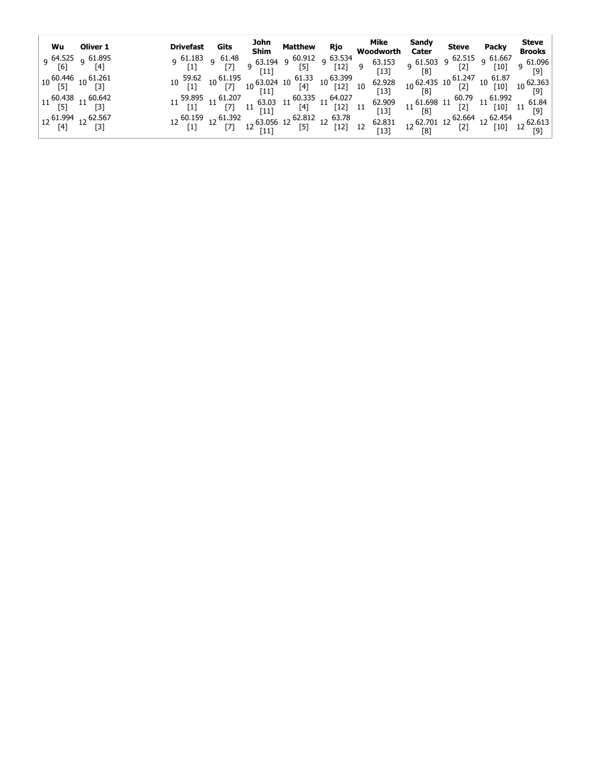|                                                                         | Wu Oliver 1                                        | Drivefast Gits                  |  |  | John Matthew Rjo Mike<br>Shim Matthew Rjo Woodworth                                                                                                                                                                                                                                                                                                  | Sandy<br>Cater | <b>Steve</b> | <b>Packy</b> | Steve<br><b>Brooks</b> |
|-------------------------------------------------------------------------|----------------------------------------------------|---------------------------------|--|--|------------------------------------------------------------------------------------------------------------------------------------------------------------------------------------------------------------------------------------------------------------------------------------------------------------------------------------------------------|----------------|--------------|--------------|------------------------|
|                                                                         | 9 <sup>64.525</sup> 9 <sup>61.895</sup><br>[6] [4] | 9 $61.183$ 9 $61.48$<br>[1] [7] |  |  | 9 $\begin{bmatrix} 63.194 & 9 & 60.912 & 9 & 63.534 \ 63.194 & 9 & 63.534 & 63.153 & 9 & 61.503 & 9 & 62.515 & 9 & 61.667 \ 111 & 61.33 & 63.329 & 113 & 13 & 14 & 61.33 & 61.337 \end{bmatrix}$                                                                                                                                                     |                |              |              |                        |
|                                                                         | $10\frac{60.446}{[5]}$ $10\frac{61.261}{[3]}$      |                                 |  |  |                                                                                                                                                                                                                                                                                                                                                      |                |              |              |                        |
| $\begin{bmatrix} 11 & 60.438 & 11 & 60.642 \\ 5 & 11 & 3 \end{bmatrix}$ |                                                    |                                 |  |  |                                                                                                                                                                                                                                                                                                                                                      |                |              |              |                        |
| $\begin{bmatrix} 12\ 61.994 & 12\ 62.567 & 1 \end{bmatrix}$             | [3]                                                |                                 |  |  | $12 \begin{array}{c cccccc} 60.159 & 12 & 61.392 & 12 & 63.056 & 12 & 62.812 & 12 & 63.78 & 62.831 & 12 & 62.701 & 12 & 62.664 & 12 & 62.613 \\ \hline \text{[1]} & \text{[7]} & \text{12} & \text{[11]} & \text{[5]} & \text{[12]} & \text{12} & \text{12} & \text{[13]} & \text{12} & \text{[8]} & \text{[2]} & \text{[10]} & \text{12} & \text{[$ |                |              |              |                        |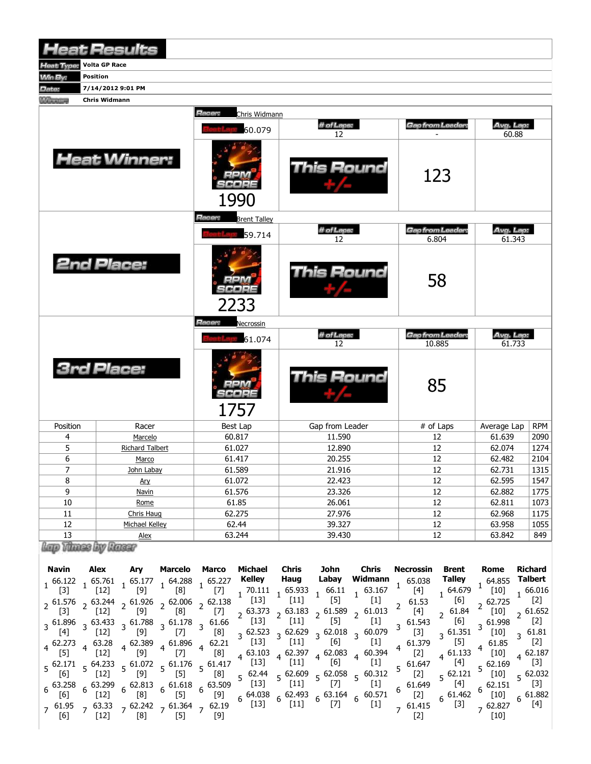|                                                 | <b>Heat Results</b>                 |                                      |                   |                                   |                     |            |
|-------------------------------------------------|-------------------------------------|--------------------------------------|-------------------|-----------------------------------|---------------------|------------|
| Heat Type:                                      | <b>Volta GP Race</b>                |                                      |                   |                                   |                     |            |
| <b>Win By:</b>                                  | Position                            |                                      |                   |                                   |                     |            |
| Date:                                           | 7/14/2012 9:01 PM                   |                                      |                   |                                   |                     |            |
| <b><i><u><i><u>ALCOVERNIEST</u></i></u></i></b> | Chris Widmann                       |                                      |                   |                                   |                     |            |
|                                                 |                                     | Racer:<br>Chris Widmann              |                   |                                   |                     |            |
|                                                 |                                     | 60.079                               | # of Laps:<br>12  | Gap from Leader:                  | Avg. Lap:<br>60.88  |            |
|                                                 | <b>Heat Winner:</b>                 | 1990                                 | <b>This Round</b> | 123                               |                     |            |
|                                                 |                                     | <b>Hacer:</b><br><b>Brent Talley</b> |                   |                                   |                     |            |
|                                                 |                                     |                                      | # of Laps:        | Gap from Leader:                  | Avg. Lap:           |            |
|                                                 |                                     | 59.714                               | 12                | 6.804                             | 61.343              |            |
|                                                 | <b>2nd Place:</b>                   | 2233                                 | This Round        | 58                                |                     |            |
|                                                 |                                     | <b>Racer:</b><br>Necrossin           |                   |                                   |                     |            |
|                                                 |                                     | 61.074                               | # of Laps:<br>12  | <b>Gap from Leader:</b><br>10.885 | Avg. Lap:<br>61.733 |            |
|                                                 | <b>3rd Place:</b>                   | $-1 - 1$<br>1757                     | <b>This Round</b> | 85                                |                     |            |
| Position                                        | Racer                               | Best Lap                             | Gap from Leader   | $\overline{\#}$ of Laps           | Average Lap         | <b>RPM</b> |
| 4                                               | Marcelo                             | 60.817                               | 11.590            | 12                                | 61.639              | 2090       |
| 5                                               | <b>Richard Talbert</b>              | 61.027                               | 12.890            | 12                                | 62.074              | 1274       |
| 6                                               | Marco                               | 61.417                               | 20.255            | 12                                | 62.482              | 2104       |
| 7                                               | John Labay                          | 61.589                               | 21.916            | 12                                | 62.731              | 1315       |
| 8                                               | <u>Ary</u>                          | 61.072                               | 22.423            | 12                                | 62.595              | 1547       |
| $\overline{9}$                                  | <b>Navin</b>                        | 61.576                               | 23.326            | $12\,$                            | 62.882              | 1775       |
| $10$                                            | Rome                                | 61.85                                | 26.061            | 12                                | 62.811              | 1073       |
| $11\,$                                          | Chris Haug                          | 62.275                               | 27.976            | $12\,$                            | 62.968              | 1175       |
| $12\,$                                          | Michael Kelley                      | 62.44                                | 39.327            | $12\,$                            | 63.958              | 1055       |
| 13                                              | Alex<br>Bonne Steinmann Ann Germany | 63.244                               | 39.430            | $12\,$                            | 63.842              | 849        |

| WAP VINDSI UY KAISEF |  |  |
|----------------------|--|--|
|                      |  |  |

| Navin                     | Alex                                                                                                                                                      | Ary        | Marcelo                                               | Marco                                                                                                                                                         | Michael                                            | Chris                   | John           | Chris                                                                                                                                    | Necrossin            | Brent                 | Rome                         | <b>Richard</b>        |
|---------------------------|-----------------------------------------------------------------------------------------------------------------------------------------------------------|------------|-------------------------------------------------------|---------------------------------------------------------------------------------------------------------------------------------------------------------------|----------------------------------------------------|-------------------------|----------------|------------------------------------------------------------------------------------------------------------------------------------------|----------------------|-----------------------|------------------------------|-----------------------|
| $\lceil 3 \rceil$         | $1^{66.122}$ 1 65.761<br>$[12]$                                                                                                                           | [9]        | [8]                                                   | $1 \begin{array}{cc} 65.177 & 1 \end{array}$ 64.288 $1 \begin{array}{cc} 65.227 \\ 1 \end{array}$<br>[7]                                                      | Kelley<br>70.111                                   | Haug<br>65.933          | Labay<br>66.11 | Widmann<br>63.167                                                                                                                        | 65.038<br>$[4]$      | Talley<br>64.679      | 64.855<br>[10]               | Talbert               |
|                           | $2^{61.576}$ 2 63.244                                                                                                                                     |            |                                                       | $2\begin{matrix}61.926\\ 2\end{matrix}$ 2 $\begin{matrix}62.006\\ 2\end{matrix}$ 2 $\begin{matrix}62.138\\ 2\end{matrix}$ $\begin{matrix}13\\ 13\end{matrix}$ |                                                    | $[11]$                  | $[5]$          | $[1]$                                                                                                                                    | 61.53                | [6]                   |                              | [2]                   |
|                           | $[12]$                                                                                                                                                    | [9]        | [8]                                                   | [7]                                                                                                                                                           | $2^{63.373}$<br>$\begin{bmatrix} 13 \end{bmatrix}$ | [11]                    | $[5]$          | $2^{63.183}$ $2^{61.589}$ $2^{61.013}$<br>$\left[1\right]$                                                                               | $\left[4\right]$     | $2^{61.84}$<br>[6]    | [10]                         | , 61.652<br>[2]       |
| [4]                       | $3\begin{array}{cc} 3.61.896 \\ 3.61.896 \end{array}$ 3 61.783 $3\begin{array}{cc} 61.788 \\ 3.61.78 \end{array}$ 3 61.66<br>$[12]$                       | [9]        | $[7]$                                                 |                                                                                                                                                               | $[8] \quad 3 \quad 62.523$                         |                         |                | $3\begin{array}{cc} 62.629 \\ 3\end{array}$ $3\begin{array}{cc} 62.018 \\ 5.61 \end{array}$ $3\begin{array}{cc} 60.079 \\ 11\end{array}$ | 3 61.543<br>[3]      | $3^{61.351}$          | [10]                         | $\mathbf{z}$          |
| $4^{62.273}$              | $4\quad 63.28$                                                                                                                                            |            |                                                       | $4\begin{array}{l} 62.389 \\ 4 \end{array}$ $4\begin{array}{l} 61.896 \\ 1 \end{array}$ $4\begin{array}{l} 62.21 \\ 1 \end{array}$                            |                                                    | $[13] \quad (11] \quad$ | [6]            | $\left[1\right]$                                                                                                                         | $4^{\circ}$          | $[5]$                 | 61.85                        |                       |
| [5]                       | $[12]$<br>$5\begin{array}{cc} 62.171 & 5\end{array}$ 64.233 $5\begin{array}{cc} 61.072 & 5\end{array}$ 61.176 $5\begin{array}{cc} 61.417 \\ 5\end{array}$ | [9]        | $[7]$                                                 | [8]                                                                                                                                                           | [13]                                               | $[11]$                  | [6]            | $4\begin{array}{cccc} 63.103 & 4 & 62.397 & 4 & 62.083 & 4 & 60.394 \end{array}$<br>$[1]$                                                | [2]<br>5 61.647      | $4^{61.133}$<br>[4]   | [10]<br>5 62.169             | 62.187                |
| [6]                       |                                                                                                                                                           | [9]        | $[5]$                                                 | [8]                                                                                                                                                           | 62.44                                              |                         |                | $5\begin{array}{cc} 62.609 & 5\end{array}$ 62.058 $5\begin{array}{cc} 60.312 & 5\end{array}$ [2]                                         |                      |                       | [10]                         |                       |
|                           | $6\substack{63.258\\56}$ $6\substack{3.299\\54.23}$                                                                                                       |            |                                                       | $6\frac{62.813}{60}$ $6\frac{61.618}{50}$ $6\frac{63.509}{50}$                                                                                                | $[13]$                                             | $[11]$                  | $[7]$          | $[1]$                                                                                                                                    | 61.649<br>6          | [4]                   | 62.151                       |                       |
| [6]<br>$7^{61.95}$<br>[6] | [12]<br>$7\,63.33$<br>[12]                                                                                                                                | [8]<br>[8] | $[5]$<br>$7\substack{62.242\\52.19}$ 7 61.364 7 62.19 | [9]<br>$\lceil 9 \rceil$                                                                                                                                      | $\begin{bmatrix} 13 \end{bmatrix}$                 |                         |                | $6\begin{array}{cccc} 64.038 & 62.493 & 63.164 & 60.571 \ 13 & 6 & [11] & 6 & [7] & 6 \end{array}$<br>$[1]$                              | $[2]$<br>$7\,61.415$ | $6^{61.462}$<br>$[3]$ | [10]<br>$7^{62.827}$<br>[10] | $6^{61.882}$<br>$[4]$ |